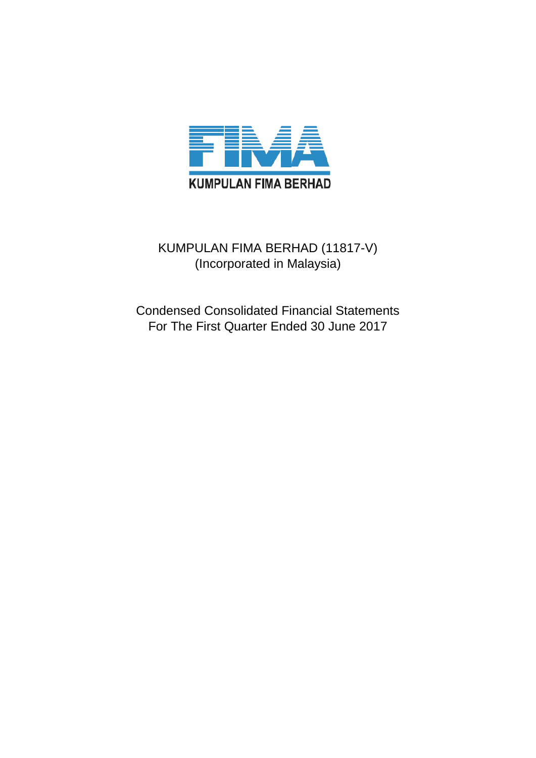

# KUMPULAN FIMA BERHAD (11817-V) (Incorporated in Malaysia)

Condensed Consolidated Financial Statements For The First Quarter Ended 30 June 2017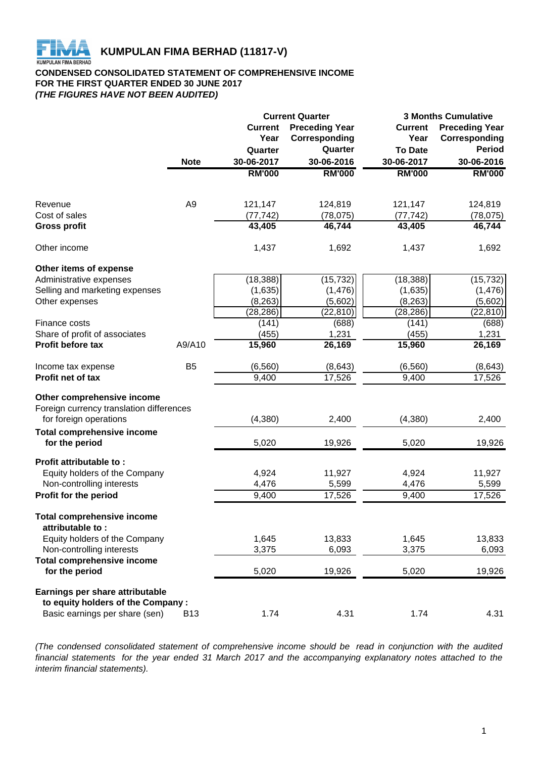

# **CONDENSED CONSOLIDATED STATEMENT OF COMPREHENSIVE INCOME FOR THE FIRST QUARTER ENDED 30 JUNE 2017** *(THE FIGURES HAVE NOT BEEN AUDITED)*

|                                                                |                | <b>Current Quarter</b> |                       |                | <b>3 Months Cumulative</b> |  |  |
|----------------------------------------------------------------|----------------|------------------------|-----------------------|----------------|----------------------------|--|--|
|                                                                |                | <b>Current</b>         | <b>Preceding Year</b> | <b>Current</b> | <b>Preceding Year</b>      |  |  |
|                                                                |                | Year                   | Corresponding         | Year           | Corresponding              |  |  |
|                                                                |                | Quarter                | Quarter               | <b>To Date</b> | <b>Period</b>              |  |  |
|                                                                | <b>Note</b>    | 30-06-2017             | 30-06-2016            | 30-06-2017     | 30-06-2016                 |  |  |
|                                                                |                | <b>RM'000</b>          | <b>RM'000</b>         | <b>RM'000</b>  | <b>RM'000</b>              |  |  |
|                                                                |                |                        |                       |                |                            |  |  |
| Revenue                                                        | A <sub>9</sub> | 121,147                | 124,819               | 121,147        | 124,819                    |  |  |
| Cost of sales                                                  |                | (77, 742)              | (78, 075)             | (77, 742)      | (78, 075)                  |  |  |
| <b>Gross profit</b>                                            |                | 43,405                 | 46,744                | 43,405         | 46,744                     |  |  |
| Other income                                                   |                | 1,437                  | 1,692                 | 1,437          | 1,692                      |  |  |
| Other items of expense                                         |                |                        |                       |                |                            |  |  |
| Administrative expenses                                        |                | (18, 388)              | (15, 732)             | (18, 388)      | (15, 732)                  |  |  |
| Selling and marketing expenses                                 |                | (1,635)                | (1, 476)              | (1,635)        | (1, 476)                   |  |  |
| Other expenses                                                 |                | (8, 263)               | (5,602)               | (8, 263)       | (5,602)                    |  |  |
|                                                                |                | (28, 286)              | (22, 810)             | (28, 286)      | (22, 810)                  |  |  |
| Finance costs                                                  |                | (141)                  | (688)                 | (141)          | (688)                      |  |  |
| Share of profit of associates                                  |                | (455)                  | 1,231                 | (455)          | 1,231                      |  |  |
| Profit before tax                                              | A9/A10         | 15,960                 | 26,169                | 15,960         | 26,169                     |  |  |
| Income tax expense                                             | B <sub>5</sub> | (6, 560)               | (8,643)               | (6, 560)       | (8,643)                    |  |  |
| Profit net of tax                                              |                | 9,400                  | 17,526                | 9,400          | 17,526                     |  |  |
| Other comprehensive income                                     |                |                        |                       |                |                            |  |  |
| Foreign currency translation differences                       |                |                        |                       |                |                            |  |  |
| for foreign operations                                         |                | (4, 380)               | 2,400                 | (4,380)        | 2,400                      |  |  |
| <b>Total comprehensive income</b><br>for the period            |                | 5,020                  | 19,926                | 5,020          | 19,926                     |  |  |
|                                                                |                |                        |                       |                |                            |  |  |
| Profit attributable to:                                        |                |                        |                       |                |                            |  |  |
| Equity holders of the Company                                  |                | 4,924                  | 11,927                | 4,924          | 11,927                     |  |  |
| Non-controlling interests                                      |                | 4,476                  | 5,599                 | 4,476          | 5,599                      |  |  |
| Profit for the period                                          |                | 9,400                  | 17,526                | 9,400          | 17,526                     |  |  |
| <b>Total comprehensive income</b><br>attributable to:          |                |                        |                       |                |                            |  |  |
| Equity holders of the Company                                  |                | 1,645                  | 13,833                | 1,645          | 13,833                     |  |  |
|                                                                |                |                        |                       |                |                            |  |  |
| Non-controlling interests<br><b>Total comprehensive income</b> |                | 3,375                  | 6,093                 | 3,375          | 6,093                      |  |  |
| for the period                                                 |                | 5,020                  | 19,926                | 5,020          | 19,926                     |  |  |
| Earnings per share attributable                                |                |                        |                       |                |                            |  |  |
| to equity holders of the Company:                              |                |                        |                       |                |                            |  |  |
| Basic earnings per share (sen)                                 | <b>B13</b>     | 1.74                   | 4.31                  | 1.74           | 4.31                       |  |  |
|                                                                |                |                        |                       |                |                            |  |  |

*(The condensed consolidated statement of comprehensive income should be read in conjunction with the audited* financial statements for the year ended 31 March 2017 and the accompanying explanatory notes attached to the *interim financial statements).*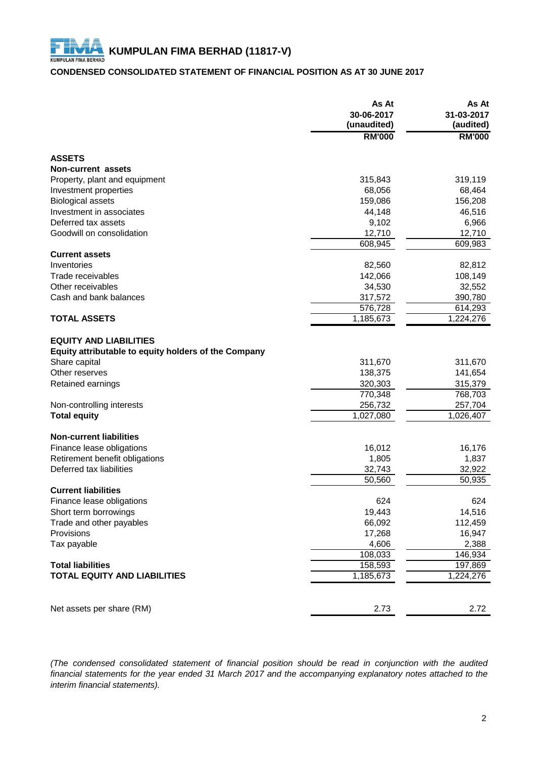# **CONDENSED CONSOLIDATED STATEMENT OF FINANCIAL POSITION AS AT 30 JUNE 2017**

|                                                      | As At<br>30-06-2017<br>(unaudited) | As At<br>31-03-2017<br>(audited) |
|------------------------------------------------------|------------------------------------|----------------------------------|
|                                                      | <b>RM'000</b>                      | <b>RM'000</b>                    |
| <b>ASSETS</b>                                        |                                    |                                  |
| Non-current assets                                   |                                    |                                  |
| Property, plant and equipment                        | 315,843                            | 319,119                          |
| Investment properties                                | 68,056                             | 68,464                           |
| <b>Biological assets</b>                             | 159,086                            | 156,208                          |
| Investment in associates                             | 44,148                             | 46,516                           |
| Deferred tax assets                                  | 9,102                              | 6,966                            |
| Goodwill on consolidation                            | 12,710                             | 12,710                           |
|                                                      | 608,945                            | 609,983                          |
| <b>Current assets</b>                                |                                    |                                  |
| Inventories                                          | 82,560                             | 82,812                           |
| Trade receivables                                    | 142,066                            | 108,149                          |
| Other receivables                                    | 34,530                             | 32,552                           |
| Cash and bank balances                               | 317,572                            | 390,780                          |
|                                                      | 576,728                            | 614,293                          |
| <b>TOTAL ASSETS</b>                                  | 1,185,673                          | 1,224,276                        |
| <b>EQUITY AND LIABILITIES</b>                        |                                    |                                  |
| Equity attributable to equity holders of the Company |                                    |                                  |
| Share capital                                        | 311,670                            | 311,670                          |
| Other reserves                                       | 138,375                            | 141,654                          |
| Retained earnings                                    | 320,303                            | 315,379                          |
|                                                      | 770,348                            | 768,703                          |
| Non-controlling interests                            | 256,732                            | 257,704                          |
| <b>Total equity</b>                                  | 1,027,080                          | 1,026,407                        |
|                                                      |                                    |                                  |
| <b>Non-current liabilities</b>                       |                                    |                                  |
| Finance lease obligations                            | 16,012                             | 16,176                           |
| Retirement benefit obligations                       | 1,805                              | 1,837                            |
| Deferred tax liabilities                             | 32,743                             | 32,922                           |
|                                                      | 50,560                             | 50,935                           |
| <b>Current liabilities</b>                           |                                    |                                  |
| Finance lease obligations                            | 624                                | 624                              |
| Short term borrowings                                | 19,443                             | 14,516                           |
| Trade and other payables                             | 66,092                             | 112,459                          |
| Provisions                                           | 17,268                             | 16,947                           |
| Tax payable                                          | 4,606                              | 2,388                            |
|                                                      | 108,033                            | 146,934                          |
| <b>Total liabilities</b>                             | 158,593                            | 197,869                          |
| <b>TOTAL EQUITY AND LIABILITIES</b>                  | 1,185,673                          | 1,224,276                        |
|                                                      |                                    |                                  |
| Net assets per share (RM)                            | 2.73                               | 2.72                             |

*(The condensed consolidated statement of financial position should be read in conjunction with the audited* financial statements for the year ended 31 March 2017 and the accompanying explanatory notes attached to the *interim financial statements).*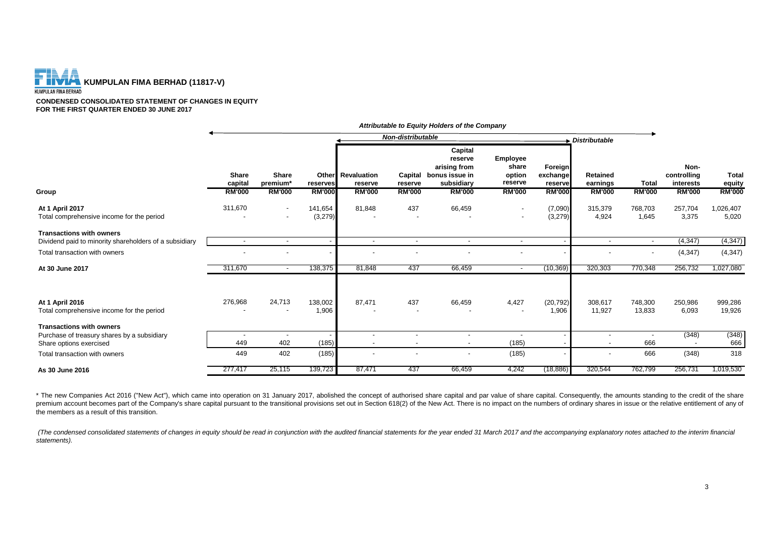

**CONDENSED CONSOLIDATED STATEMENT OF CHANGES IN EQUITY FOR THE FIRST QUARTER ENDED 30 JUNE 2017**

|                                                                                           |                          |                                      |                    |                                     |                                    | Attributable to Equity Holders of the Company                      |                                        |                                |                                                      |                   |                                  |                        |
|-------------------------------------------------------------------------------------------|--------------------------|--------------------------------------|--------------------|-------------------------------------|------------------------------------|--------------------------------------------------------------------|----------------------------------------|--------------------------------|------------------------------------------------------|-------------------|----------------------------------|------------------------|
|                                                                                           |                          |                                      |                    |                                     | Non-distributable<br>Distributable |                                                                    |                                        |                                |                                                      |                   |                                  |                        |
|                                                                                           | <b>Share</b><br>capital  | <b>Share</b><br>premium <sup>*</sup> | reserves           | <b>Other</b> Revaluation<br>reserve | Capital<br>reserve                 | Capital<br>reserve<br>arising from<br>bonus issue in<br>subsidiary | Employee<br>share<br>option<br>reserve | Foreign<br>exchange<br>reserve | <b>Retained</b><br>earnings                          | <b>Total</b>      | Non-<br>controlling<br>interests | <b>Total</b><br>equity |
| Group                                                                                     | <b>RM'000</b>            | <b>RM'000</b>                        | <b>RM'000</b>      | <b>RM'000</b>                       | <b>RM'000</b>                      | <b>RM'000</b>                                                      | <b>RM'000</b>                          | <b>RM'000</b>                  | <b>RM'000</b>                                        | <b>RM'000</b>     | <b>RM'000</b>                    | <b>RM'000</b>          |
| At 1 April 2017<br>Total comprehensive income for the period                              | 311,670                  | $\overline{\phantom{a}}$             | 141,654<br>(3,279) | 81,848                              | 437                                | 66,459                                                             |                                        | (7,090)<br>(3,279)             | 315,379<br>4,924                                     | 768,703<br>1,645  | 257,704<br>3,375                 | 1,026,407<br>5,020     |
| <b>Transactions with owners</b><br>Dividend paid to minority shareholders of a subsidiary | $\overline{\phantom{a}}$ | $\overline{\phantom{a}}$             |                    | $\overline{\phantom{a}}$            | $\overline{\phantom{a}}$           | $\overline{\phantom{a}}$                                           | $\sim$                                 |                                | $\sim$                                               | $\overline{a}$    | (4, 347)                         | (4, 347)               |
| Total transaction with owners                                                             |                          |                                      |                    |                                     |                                    |                                                                    |                                        |                                |                                                      |                   | (4, 347)                         | (4, 347)               |
| At 30 June 2017                                                                           | 311,670                  | $\overline{\phantom{a}}$             | 138,375            | 81,848                              | 437                                | 66,459                                                             | $\sim$                                 | (10, 369)                      | 320,303                                              | 770,348           | 256,732                          | 1,027,080              |
| At 1 April 2016<br>Total comprehensive income for the period                              | 276,968                  | 24,713                               | 138,002<br>1,906   | 87,471                              | 437                                | 66,459                                                             | 4,427                                  | (20, 792)<br>1,906             | 308,617<br>11,927                                    | 748,300<br>13,833 | 250,986<br>6,093                 | 999,286<br>19,926      |
| <b>Transactions with owners</b>                                                           |                          |                                      |                    |                                     |                                    |                                                                    |                                        |                                |                                                      |                   |                                  |                        |
| Purchase of treasury shares by a subsidiary<br>Share options exercised                    | 449                      | 402                                  | (185)              |                                     | $\overline{\phantom{a}}$           | $\blacksquare$<br>$\overline{\phantom{a}}$                         | (185)                                  |                                | $\overline{\phantom{a}}$<br>$\overline{\phantom{a}}$ | 666               | (348)                            | (348)<br>666           |
| Total transaction with owners                                                             | 449                      | 402                                  | (185)              |                                     |                                    |                                                                    | (185)                                  |                                | $\overline{\phantom{a}}$                             | 666               | (348)                            | 318                    |
| As 30 June 2016                                                                           | 277,417                  | 25,115                               | 139,723            | 87,471                              | 437                                | 66,459                                                             | 4,242                                  | (18, 886)                      | 320,544                                              | 762,799           | 256,731                          | 1,019,530              |

\* The new Companies Act 2016 ("New Act"), which came into operation on 31 January 2017, abolished the concept of authorised share capital and par value of share capital. Consequently, the amounts standing to the credit of premium account becomes part of the Company's share capital pursuant to the transitional provisions set out in Section 618(2) of the New Act. There is no impact on the numbers of ordinary shares in issue or the relative en the members as a result of this transition.

(The condensed consolidated statements of changes in equity should be read in conjunction with the audited financial statements for the year ended 31 March 2017 and the accompanying explanatory notes attached to the interi *statements).*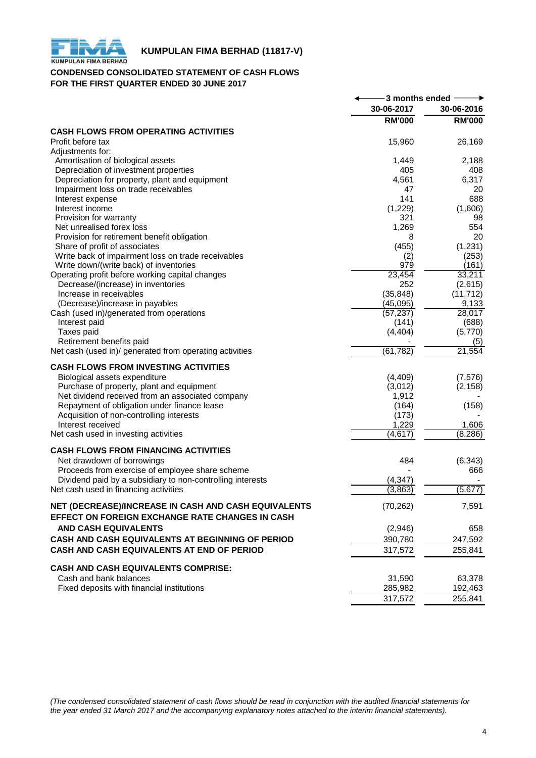

# **KUMPULAN FIMA BERHAD (11817-V)**<br>KUMPULAN FIMA BERHAD

# **CONDENSED CONSOLIDATED STATEMENT OF CASH FLOWS FOR THE FIRST QUARTER ENDED 30 JUNE 2017**

|                                                                                                                | -3 months ended - |
|----------------------------------------------------------------------------------------------------------------|-------------------|
| 30-06-2017                                                                                                     | 30-06-2016        |
| <b>RM'000</b>                                                                                                  | <b>RM'000</b>     |
| <b>CASH FLOWS FROM OPERATING ACTIVITIES</b>                                                                    |                   |
| Profit before tax<br>15,960                                                                                    | 26,169            |
| Adjustments for:                                                                                               |                   |
| Amortisation of biological assets<br>1,449                                                                     | 2,188             |
| Depreciation of investment properties<br>405                                                                   | 408               |
| 4,561<br>Depreciation for property, plant and equipment                                                        | 6,317             |
| Impairment loss on trade receivables<br>47                                                                     | 20                |
| 141<br>Interest expense                                                                                        | 688               |
| (1,229)<br>Interest income                                                                                     | (1,606)           |
| 321<br>Provision for warranty                                                                                  | 98                |
| 1,269<br>Net unrealised forex loss                                                                             | 554               |
| Provision for retirement benefit obligation<br>8                                                               | 20                |
| Share of profit of associates<br>(455)                                                                         | (1,231)           |
| Write back of impairment loss on trade receivables<br>(2)<br>Write down/(write back) of inventories<br>979     | (253)             |
| 23,454<br>Operating profit before working capital changes                                                      | (161)<br>33,211   |
| 252<br>Decrease/(increase) in inventories                                                                      | (2,615)           |
| (35, 848)<br>Increase in receivables                                                                           | (11, 712)         |
| (Decrease)/increase in payables<br>(45,095)                                                                    | 9,133             |
| (57, 237)<br>Cash (used in)/generated from operations                                                          | 28,017            |
| Interest paid<br>(141)                                                                                         | (688)             |
| Taxes paid<br>(4, 404)                                                                                         | (5,770)           |
| Retirement benefits paid                                                                                       | (5)               |
| (61, 782)<br>Net cash (used in)/ generated from operating activities                                           | 21,554            |
| <b>CASH FLOWS FROM INVESTING ACTIVITIES</b>                                                                    |                   |
| (4, 409)                                                                                                       | (7, 576)          |
| Biological assets expenditure<br>Purchase of property, plant and equipment<br>(3,012)                          | (2, 158)          |
| Net dividend received from an associated company<br>1,912                                                      |                   |
| Repayment of obligation under finance lease<br>(164)                                                           | (158)             |
| (173)<br>Acquisition of non-controlling interests                                                              |                   |
| 1,229<br>Interest received                                                                                     | 1,606             |
| (4,617)<br>Net cash used in investing activities                                                               | (8, 286)          |
|                                                                                                                |                   |
| <b>CASH FLOWS FROM FINANCING ACTIVITIES</b><br>Net drawdown of borrowings<br>484                               | (6, 343)          |
| Proceeds from exercise of employee share scheme                                                                | 666               |
| (4, 347)                                                                                                       |                   |
| Dividend paid by a subsidiary to non-controlling interests<br>Net cash used in financing activities<br>(3,863) | (5, 677)          |
|                                                                                                                |                   |
| NET (DECREASE)/INCREASE IN CASH AND CASH EQUIVALENTS<br>(70, 262)                                              | 7,591             |
| EFFECT ON FOREIGN EXCHANGE RATE CHANGES IN CASH                                                                |                   |
| <b>AND CASH EQUIVALENTS</b><br>(2,946)                                                                         | 658               |
| CASH AND CASH EQUIVALENTS AT BEGINNING OF PERIOD<br>390,780                                                    | 247,592           |
| CASH AND CASH EQUIVALENTS AT END OF PERIOD<br>317,572                                                          | 255,841           |
| <b>CASH AND CASH EQUIVALENTS COMPRISE:</b>                                                                     |                   |
| Cash and bank balances<br>31,590                                                                               | 63,378            |
| Fixed deposits with financial institutions<br>285,982                                                          | 192,463           |
| 317,572                                                                                                        | 255,841           |

*(The condensed consolidated statement of cash flows should be read in conjunction with the audited financial statements for the year ended 31 March 2017 and the accompanying explanatory notes attached to the interim financial statements).*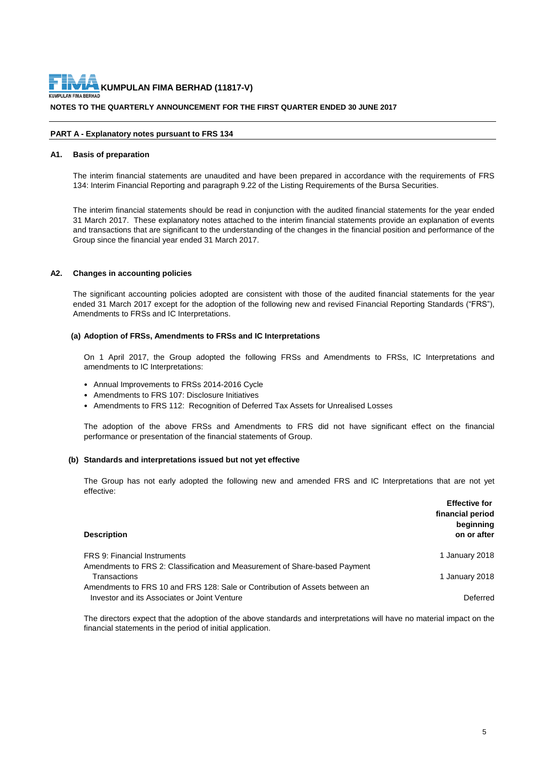**NOTES TO THE QUARTERLY ANNOUNCEMENT FOR THE FIRST QUARTER ENDED 30 JUNE 2017 KUMPULAN FIMA BERHAD (11817-V)**

#### **PART A - Explanatory notes pursuant to FRS 134**

#### **A1. Basis of preparation**

The interim financial statements are unaudited and have been prepared in accordance with the requirements of FRS 134: Interim Financial Reporting and paragraph 9.22 of the Listing Requirements of the Bursa Securities.

The interim financial statements should be read in conjunction with the audited financial statements for the year ended 31 March 2017. These explanatory notes attached to the interim financial statements provide an explanation of events and transactions that are significant to the understanding of the changes in the financial position and performance of the Group since the financial year ended 31 March 2017.

# **A2. Changes in accounting policies**

The significant accounting policies adopted are consistent with those of the audited financial statements for the year ended 31 March 2017 except for the adoption of the following new and revised Financial Reporting Standards ("FRS"), Amendments to FRSs and IC Interpretations.

#### **(a) Adoption of FRSs, Amendments to FRSs and IC Interpretations**

On 1 April 2017, the Group adopted the following FRSs and Amendments to FRSs, IC Interpretations and amendments to IC Interpretations:

- Annual Improvements to FRSs 2014-2016 Cycle
- Amendments to FRS 107: Disclosure Initiatives
- Amendments to FRS 112: Recognition of Deferred Tax Assets for Unrealised Losses

The adoption of the above FRSs and Amendments to FRS did not have significant effect on the financial performance or presentation of the financial statements of Group.

# **(b) Standards and interpretations issued but not yet effective**

The Group has not early adopted the following new and amended FRS and IC Interpretations that are not yet effective:

| <b>Description</b>                                                                                                          | <b>Effective for</b><br>financial period<br>beginning<br>on or after |
|-----------------------------------------------------------------------------------------------------------------------------|----------------------------------------------------------------------|
| <b>FRS 9: Financial Instruments</b>                                                                                         | 1 January 2018                                                       |
| Amendments to FRS 2: Classification and Measurement of Share-based Payment<br>Transactions                                  | 1 January 2018                                                       |
| Amendments to FRS 10 and FRS 128: Sale or Contribution of Assets between an<br>Investor and its Associates or Joint Venture | Deferred                                                             |

The directors expect that the adoption of the above standards and interpretations will have no material impact on the financial statements in the period of initial application.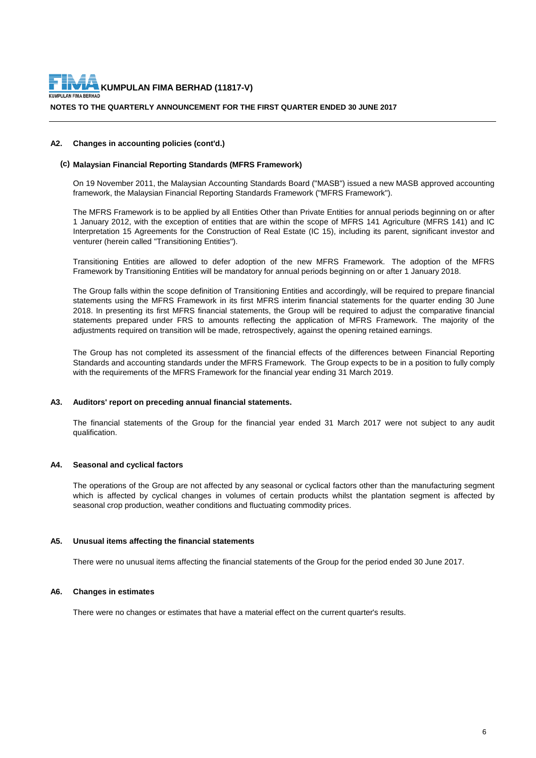

**NOTES TO THE QUARTERLY ANNOUNCEMENT FOR THE FIRST QUARTER ENDED 30 JUNE 2017**

#### **A2. Changes in accounting policies (cont'd.)**

#### **(c) Malaysian Financial Reporting Standards (MFRS Framework)**

On 19 November 2011, the Malaysian Accounting Standards Board ("MASB") issued a new MASB approved accounting framework, the Malaysian Financial Reporting Standards Framework ("MFRS Framework").

The MFRS Framework is to be applied by all Entities Other than Private Entities for annual periods beginning on or after 1 January 2012, with the exception of entities that are within the scope of MFRS 141 Agriculture (MFRS 141) and IC Interpretation 15 Agreements for the Construction of Real Estate (IC 15), including its parent, significant investor and venturer (herein called "Transitioning Entities").

Transitioning Entities are allowed to defer adoption of the new MFRS Framework. The adoption of the MFRS Framework by Transitioning Entities will be mandatory for annual periods beginning on or after 1 January 2018.

The Group falls within the scope definition of Transitioning Entities and accordingly, will be required to prepare financial statements using the MFRS Framework in its first MFRS interim financial statements for the quarter ending 30 June 2018. In presenting its first MFRS financial statements, the Group will be required to adjust the comparative financial statements prepared under FRS to amounts reflecting the application of MFRS Framework. The majority of the adjustments required on transition will be made, retrospectively, against the opening retained earnings.

The Group has not completed its assessment of the financial effects of the differences between Financial Reporting Standards and accounting standards under the MFRS Framework. The Group expects to be in a position to fully comply with the requirements of the MFRS Framework for the financial year ending 31 March 2019.

# **A3. Auditors' report on preceding annual financial statements.**

The financial statements of the Group for the financial year ended 31 March 2017 were not subject to any audit qualification.

# **A4. Seasonal and cyclical factors**

The operations of the Group are not affected by any seasonal or cyclical factors other than the manufacturing segment which is affected by cyclical changes in volumes of certain products whilst the plantation segment is affected by seasonal crop production, weather conditions and fluctuating commodity prices.

#### **A5. Unusual items affecting the financial statements**

There were no unusual items affecting the financial statements of the Group for the period ended 30 June 2017.

# **A6. Changes in estimates**

There were no changes or estimates that have a material effect on the current quarter's results.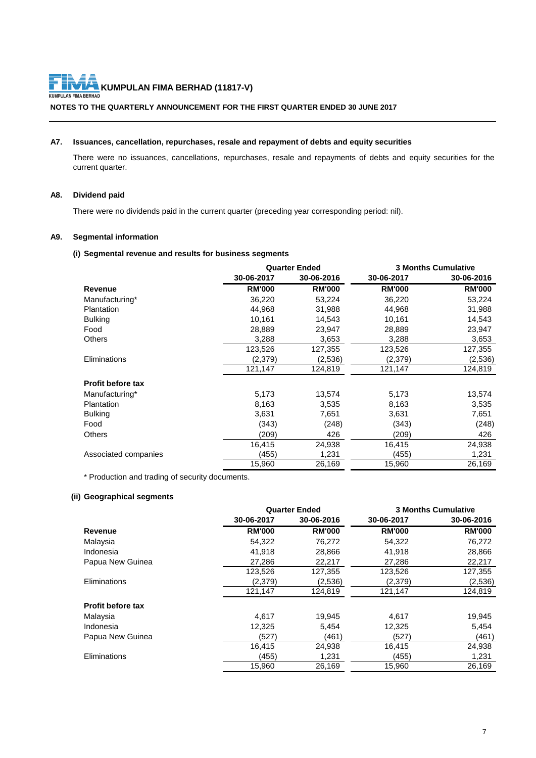**KUMPULAN FIMA BERHAD (11817-V)**<br>MABERHAD

KUM

**NOTES TO THE QUARTERLY ANNOUNCEMENT FOR THE FIRST QUARTER ENDED 30 JUNE 2017**

# **A7. Issuances, cancellation, repurchases, resale and repayment of debts and equity securities**

There were no issuances, cancellations, repurchases, resale and repayments of debts and equity securities for the current quarter.

# **A8. Dividend paid**

There were no dividends paid in the current quarter (preceding year corresponding period: nil).

# **A9. Segmental information**

# **(i) Segmental revenue and results for business segments**

|                          | <b>Quarter Ended</b> |               | <b>3 Months Cumulative</b> |               |  |
|--------------------------|----------------------|---------------|----------------------------|---------------|--|
|                          | 30-06-2017           | 30-06-2016    | 30-06-2017                 | 30-06-2016    |  |
| Revenue                  | <b>RM'000</b>        | <b>RM'000</b> | <b>RM'000</b>              | <b>RM'000</b> |  |
| Manufacturing*           | 36,220               | 53,224        | 36,220                     | 53,224        |  |
| Plantation               | 44,968               | 31,988        | 44,968                     | 31,988        |  |
| <b>Bulking</b>           | 10,161               | 14,543        | 10,161                     | 14,543        |  |
| Food                     | 28,889               | 23,947        | 28,889                     | 23,947        |  |
| Others                   | 3,288                | 3,653         | 3,288                      | 3,653         |  |
|                          | 123,526              | 127,355       | 123,526                    | 127,355       |  |
| <b>Eliminations</b>      | (2,379)              | (2,536)       | (2,379)                    | (2,536)       |  |
|                          | 121,147              | 124,819       | 121,147                    | 124,819       |  |
| <b>Profit before tax</b> |                      |               |                            |               |  |
| Manufacturing*           | 5,173                | 13,574        | 5,173                      | 13,574        |  |
| Plantation               | 8,163                | 3,535         | 8,163                      | 3,535         |  |
| <b>Bulking</b>           | 3,631                | 7,651         | 3,631                      | 7,651         |  |
| Food                     | (343)                | (248)         | (343)                      | (248)         |  |
| <b>Others</b>            | (209)                | 426           | (209)                      | 426           |  |
|                          | 16,415               | 24,938        | 16,415                     | 24,938        |  |
| Associated companies     | (455)                | 1,231         | (455)                      | 1,231         |  |
|                          | 15,960               | 26,169        | 15,960                     | 26,169        |  |

\* Production and trading of security documents.

# **(ii) Geographical segments**

| <b>Quarter Ended</b> | <b>3 Months Cumulative</b> |               |  |
|----------------------|----------------------------|---------------|--|
| 30-06-2016           | 30-06-2017                 | 30-06-2016    |  |
| <b>RM'000</b>        | <b>RM'000</b>              | <b>RM'000</b> |  |
| 76,272               | 54,322                     | 76,272        |  |
| 28,866               | 41,918                     | 28,866        |  |
| 22,217               | 27.286                     | 22,217        |  |
| 127,355              | 123,526                    | 127,355       |  |
| (2,536)              | (2,379)                    | (2,536)       |  |
| 124,819              | 121,147                    | 124,819       |  |
|                      |                            |               |  |
| 19,945               | 4,617                      | 19,945        |  |
| 5,454                | 12,325                     | 5,454         |  |
| (461)                | (527)                      | (461)         |  |
| 24,938               | 16,415                     | 24,938        |  |
| 1,231                | (455)                      | 1,231         |  |
| 26,169               | 15,960                     | 26,169        |  |
|                      |                            |               |  |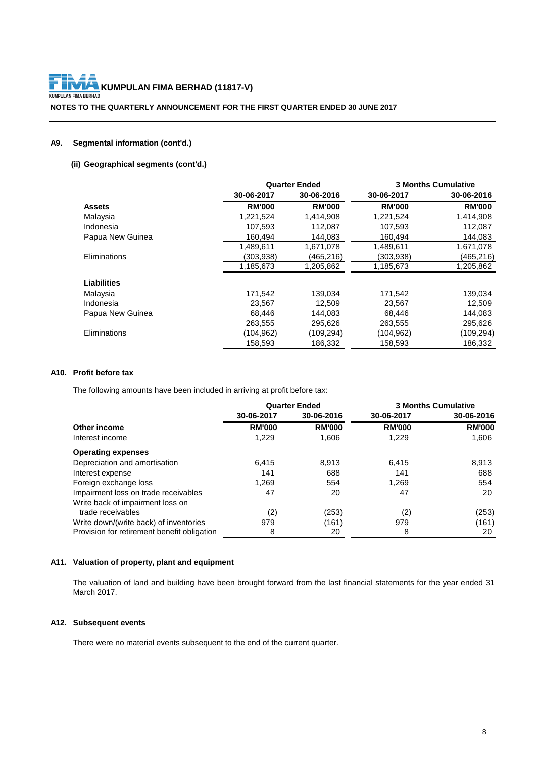**KUMPULAN FIMA BERHAD (11817-V)**<br>WABERHAD KUM

**NOTES TO THE QUARTERLY ANNOUNCEMENT FOR THE FIRST QUARTER ENDED 30 JUNE 2017**

# **A9. Segmental information (cont'd.)**

# **(ii) Geographical segments (cont'd.)**

|                     |               | <b>Quarter Ended</b> | <b>3 Months Cumulative</b> |               |  |  |
|---------------------|---------------|----------------------|----------------------------|---------------|--|--|
|                     | 30-06-2017    | 30-06-2016           | 30-06-2017                 | 30-06-2016    |  |  |
| <b>Assets</b>       | <b>RM'000</b> | <b>RM'000</b>        | <b>RM'000</b>              | <b>RM'000</b> |  |  |
| Malaysia            | 1,221,524     | 1,414,908            | 1,221,524                  | 1,414,908     |  |  |
| Indonesia           | 107,593       | 112,087              | 107,593                    | 112,087       |  |  |
| Papua New Guinea    | 160,494       | 144,083              | 160,494                    | 144,083       |  |  |
|                     | 1.489.611     | 1,671,078            | 1,489,611                  | 1,671,078     |  |  |
| <b>Eliminations</b> | (303,938)     | (465,216)            | (303,938)                  | (465,216)     |  |  |
|                     | 1,185,673     | 1,205,862            | 1,185,673                  | 1,205,862     |  |  |
| <b>Liabilities</b>  |               |                      |                            |               |  |  |
| Malaysia            | 171,542       | 139,034              | 171,542                    | 139,034       |  |  |
| Indonesia           | 23,567        | 12,509               | 23,567                     | 12,509        |  |  |
| Papua New Guinea    | 68.446        | 144.083              | 68.446                     | 144,083       |  |  |
|                     | 263,555       | 295,626              | 263,555                    | 295,626       |  |  |
| Eliminations        | (104,962)     | (109,294)            | (104,962)                  | (109,294)     |  |  |
|                     | 158,593       | 186,332              | 158,593                    | 186,332       |  |  |

# **A10. Profit before tax**

The following amounts have been included in arriving at profit before tax:

|                                             | <b>Quarter Ended</b> |               |               | <b>3 Months Cumulative</b> |
|---------------------------------------------|----------------------|---------------|---------------|----------------------------|
|                                             | 30-06-2017           | 30-06-2016    | 30-06-2017    | 30-06-2016                 |
| Other income                                | <b>RM'000</b>        | <b>RM'000</b> | <b>RM'000</b> | <b>RM'000</b>              |
| Interest income                             | 1,229                | 1,606         | 1.229         | 1,606                      |
| <b>Operating expenses</b>                   |                      |               |               |                            |
| Depreciation and amortisation               | 6.415                | 8.913         | 6.415         | 8,913                      |
| Interest expense                            | 141                  | 688           | 141           | 688                        |
| Foreign exchange loss                       | 1.269                | 554           | 1.269         | 554                        |
| Impairment loss on trade receivables        | 47                   | 20            | 47            | 20                         |
| Write back of impairment loss on            |                      |               |               |                            |
| trade receivables                           | (2)                  | (253)         | (2)           | (253)                      |
| Write down/(write back) of inventories      | 979                  | (161)         | 979           | (161)                      |
| Provision for retirement benefit obligation | 8                    | 20            | 8             | 20                         |

# **A11. Valuation of property, plant and equipment**

The valuation of land and building have been brought forward from the last financial statements for the year ended 31 March 2017.

# **A12. Subsequent events**

There were no material events subsequent to the end of the current quarter.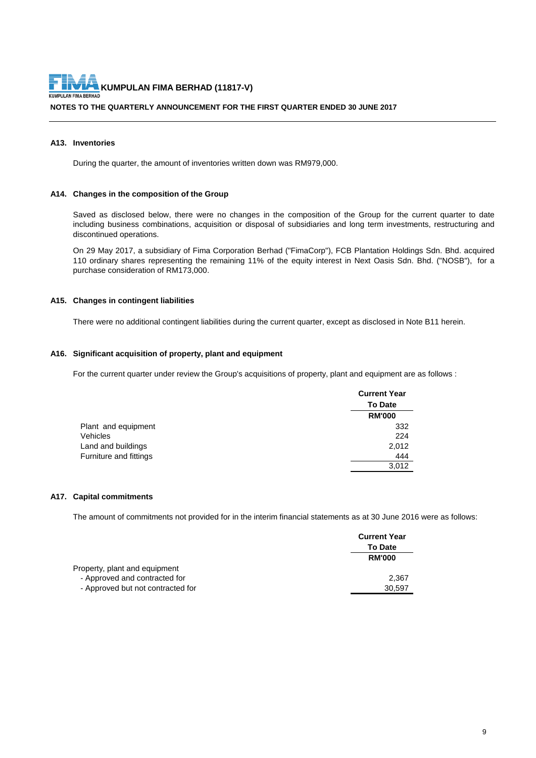**NOTES TO THE QUARTERLY ANNOUNCEMENT FOR THE FIRST QUARTER ENDED 30 JUNE 2017**

#### **A13. Inventories**

During the quarter, the amount of inventories written down was RM979,000.

#### **A14. Changes in the composition of the Group**

Saved as disclosed below, there were no changes in the composition of the Group for the current quarter to date including business combinations, acquisition or disposal of subsidiaries and long term investments, restructuring and discontinued operations.

On 29 May 2017, a subsidiary of Fima Corporation Berhad ("FimaCorp"), FCB Plantation Holdings Sdn. Bhd. acquired 110 ordinary shares representing the remaining 11% of the equity interest in Next Oasis Sdn. Bhd. ("NOSB"), for a purchase consideration of RM173,000.

# **A15. Changes in contingent liabilities**

There were no additional contingent liabilities during the current quarter, except as disclosed in Note B11 herein.

#### **A16. Significant acquisition of property, plant and equipment**

For the current quarter under review the Group's acquisitions of property, plant and equipment are as follows :

|                        | <b>Current Year</b> |
|------------------------|---------------------|
|                        | <b>To Date</b>      |
|                        | <b>RM'000</b>       |
| Plant and equipment    | 332                 |
| Vehicles               | 224                 |
| Land and buildings     | 2,012               |
| Furniture and fittings | 444                 |
|                        | 3.012               |

# **A17. Capital commitments**

The amount of commitments not provided for in the interim financial statements as at 30 June 2016 were as follows:

|                                   | <b>Current Year</b> |  |
|-----------------------------------|---------------------|--|
|                                   | <b>To Date</b>      |  |
|                                   | <b>RM'000</b>       |  |
| Property, plant and equipment     |                     |  |
| - Approved and contracted for     | 2.367               |  |
| - Approved but not contracted for | 30.597              |  |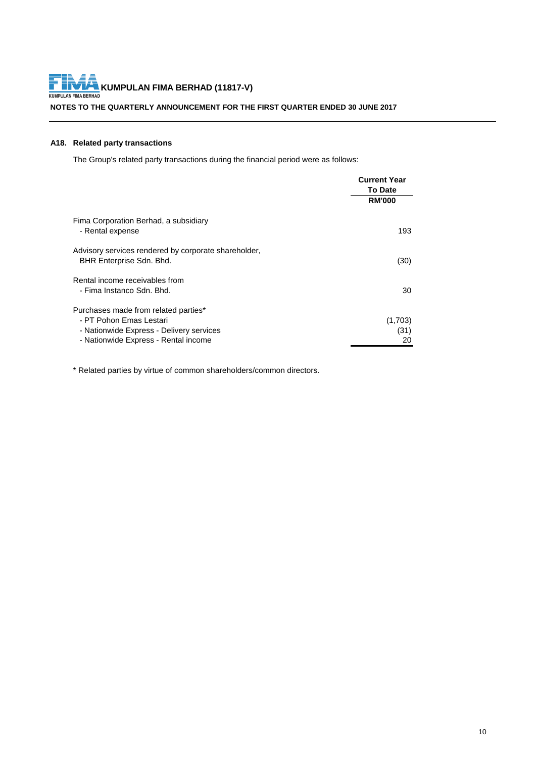**KUMPULAN FIMA BERHAD (11817-V)**<br>KUMPULAN FIMA BERHAD F

**NOTES TO THE QUARTERLY ANNOUNCEMENT FOR THE FIRST QUARTER ENDED 30 JUNE 2017**

# **A18. Related party transactions**

The Group's related party transactions during the financial period were as follows:

|                                                                                                             | <b>Current Year</b> |
|-------------------------------------------------------------------------------------------------------------|---------------------|
|                                                                                                             | <b>To Date</b>      |
|                                                                                                             | <b>RM'000</b>       |
| Fima Corporation Berhad, a subsidiary<br>- Rental expense                                                   | 193                 |
| Advisory services rendered by corporate shareholder,<br>BHR Enterprise Sdn. Bhd.                            | (30)                |
| Rental income receivables from<br>- Fima Instanco Sdn. Bhd.                                                 | 30                  |
| Purchases made from related parties*<br>- PT Pohon Emas Lestari<br>- Nationwide Express - Delivery services | (1,703)<br>(31)     |
| - Nationwide Express - Rental income                                                                        | 20                  |

\* Related parties by virtue of common shareholders/common directors.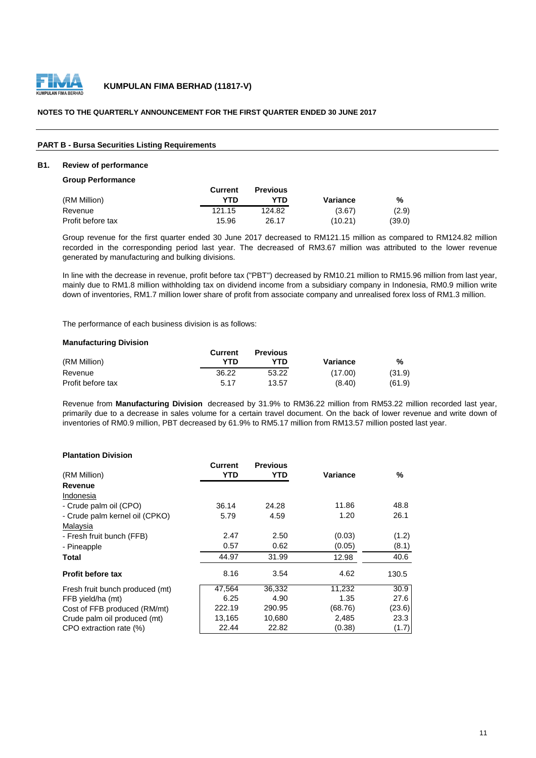

# **NOTES TO THE QUARTERLY ANNOUNCEMENT FOR THE FIRST QUARTER ENDED 30 JUNE 2017**

#### **PART B - Bursa Securities Listing Requirements**

# **B1. Review of performance**

**Group Performance**

|                   | Current | <b>Previous</b> |          |        |
|-------------------|---------|-----------------|----------|--------|
| (RM Million)      | YTN     | YTD             | Variance | %      |
| Revenue           | 121.15  | 124.82          | (3.67)   | (2.9)  |
| Profit before tax | 15.96   | 26.17           | (10.21)  | (39.0) |

Group revenue for the first quarter ended 30 June 2017 decreased to RM121.15 million as compared to RM124.82 million recorded in the corresponding period last year. The decreased of RM3.67 million was attributed to the lower revenue generated by manufacturing and bulking divisions.

In line with the decrease in revenue, profit before tax ("PBT") decreased by RM10.21 million to RM15.96 million from last year, mainly due to RM1.8 million withholding tax on dividend income from a subsidiary company in Indonesia, RM0.9 million write down of inventories, RM1.7 million lower share of profit from associate company and unrealised forex loss of RM1.3 million.

The performance of each business division is as follows:

#### **Manufacturing Division**

|                   | Current | <b>Previous</b> |          |        |
|-------------------|---------|-----------------|----------|--------|
| (RM Million)      | YTD     | YTD             | Variance | %      |
| Revenue           | 36.22   | 53.22           | (17.00)  | (31.9) |
| Profit before tax | 5.17    | 13.57           | (8.40)   | (61.9) |

Revenue from **Manufacturing Division** decreased by 31.9% to RM36.22 million from RM53.22 million recorded last year, primarily due to a decrease in sales volume for a certain travel document. On the back of lower revenue and write down of inventories of RM0.9 million, PBT decreased by 61.9% to RM5.17 million from RM13.57 million posted last year.

### **Plantation Division**

|                                 | Current | <b>Previous</b> |          |        |
|---------------------------------|---------|-----------------|----------|--------|
| (RM Million)                    | YTD     | YTD             | Variance | ℅      |
| Revenue                         |         |                 |          |        |
| Indonesia                       |         |                 |          |        |
| - Crude palm oil (CPO)          | 36.14   | 24.28           | 11.86    | 48.8   |
| - Crude palm kernel oil (CPKO)  | 5.79    | 4.59            | 1.20     | 26.1   |
| Malaysia                        |         |                 |          |        |
| - Fresh fruit bunch (FFB)       | 2.47    | 2.50            | (0.03)   | (1.2)  |
| - Pineapple                     | 0.57    | 0.62            | (0.05)   | (8.1)  |
| Total                           | 44.97   | 31.99           | 12.98    | 40.6   |
| <b>Profit before tax</b>        | 8.16    | 3.54            | 4.62     | 130.5  |
| Fresh fruit bunch produced (mt) | 47,564  | 36,332          | 11,232   | 30.9   |
| FFB yield/ha (mt)               | 6.25    | 4.90            | 1.35     | 27.6   |
| Cost of FFB produced (RM/mt)    | 222.19  | 290.95          | (68.76)  | (23.6) |
| Crude palm oil produced (mt)    | 13,165  | 10,680          | 2,485    | 23.3   |
| CPO extraction rate (%)         | 22.44   | 22.82           | (0.38)   | (1.7)  |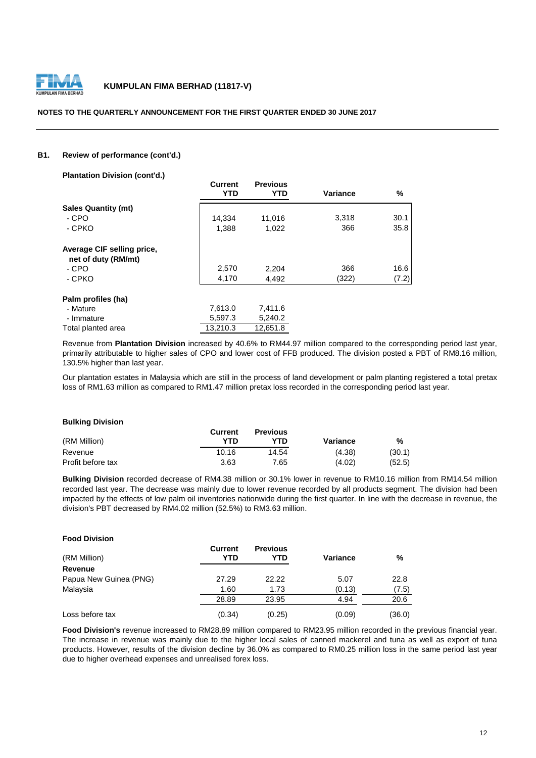

#### **NOTES TO THE QUARTERLY ANNOUNCEMENT FOR THE FIRST QUARTER ENDED 30 JUNE 2017**

# **B1. Review of performance (cont'd.)**

**Plantation Division (cont'd.)**

|                            | <b>Current</b><br>YTD | <b>Previous</b><br>YTD | <b>Variance</b> | %     |
|----------------------------|-----------------------|------------------------|-----------------|-------|
| <b>Sales Quantity (mt)</b> |                       |                        |                 |       |
| - CPO                      | 14,334                | 11,016                 | 3,318           | 30.1  |
| - CPKO                     | 1,388                 | 1,022                  | 366             | 35.8  |
| Average CIF selling price, |                       |                        |                 |       |
| net of duty (RM/mt)        |                       |                        |                 |       |
| - CPO                      | 2,570                 | 2,204                  | 366             | 16.6  |
| - CPKO                     | 4,170                 | 4,492                  | (322)           | (7.2) |
| Palm profiles (ha)         |                       |                        |                 |       |
| - Mature                   | 7,613.0               | 7,411.6                |                 |       |
| - Immature                 | 5,597.3               | 5,240.2                |                 |       |
| Total planted area         | 13.210.3              | 12,651.8               |                 |       |

Revenue from **Plantation Division** increased by 40.6% to RM44.97 million compared to the corresponding period last year, primarily attributable to higher sales of CPO and lower cost of FFB produced. The division posted a PBT of RM8.16 million, 130.5% higher than last year.

Our plantation estates in Malaysia which are still in the process of land development or palm planting registered a total pretax loss of RM1.63 million as compared to RM1.47 million pretax loss recorded in the corresponding period last year.

#### **Bulking Division**

**Food Division**

|                   | Current | <b>Previous</b> |          |        |
|-------------------|---------|-----------------|----------|--------|
| (RM Million)      | YTD     | YTD             | Variance | %      |
| Revenue           | 10.16   | 14.54           | (4.38)   | (30.1) |
| Profit before tax | 3.63    | 7.65            | (4.02)   | (52.5) |

**Bulking Division** recorded decrease of RM4.38 million or 30.1% lower in revenue to RM10.16 million from RM14.54 million recorded last year. The decrease was mainly due to lower revenue recorded by all products segment. The division had been impacted by the effects of low palm oil inventories nationwide during the first quarter. In line with the decrease in revenue, the division's PBT decreased by RM4.02 million (52.5%) to RM3.63 million.

| ווטופוזוע וטטט ו       |                       |                        |          |        |
|------------------------|-----------------------|------------------------|----------|--------|
| (RM Million)           | <b>Current</b><br>YTD | <b>Previous</b><br>YTD | Variance | %      |
| Revenue                |                       |                        |          |        |
| Papua New Guinea (PNG) | 27.29                 | 22.22                  | 5.07     | 22.8   |
| Malaysia               | 1.60                  | 1.73                   | (0.13)   | (7.5)  |
|                        | 28.89                 | 23.95                  | 4.94     | 20.6   |
| Loss before tax        | (0.34)                | (0.25)                 | (0.09)   | (36.0) |

**Food Division's** revenue increased to RM28.89 million compared to RM23.95 million recorded in the previous financial year. The increase in revenue was mainly due to the higher local sales of canned mackerel and tuna as well as export of tuna products. However, results of the division decline by 36.0% as compared to RM0.25 million loss in the same period last year due to higher overhead expenses and unrealised forex loss.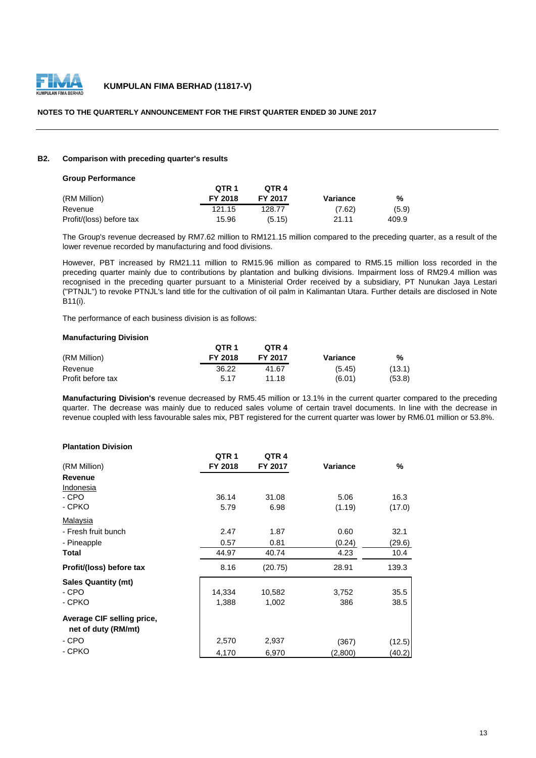

# **NOTES TO THE QUARTERLY ANNOUNCEMENT FOR THE FIRST QUARTER ENDED 30 JUNE 2017**

#### **B2. Comparison with preceding quarter's results**

**Group Performance**

| Group Performance        |                  |         |          |       |
|--------------------------|------------------|---------|----------|-------|
|                          | OTR <sub>1</sub> | OTR 4   |          |       |
| (RM Million)             | FY 2018          | FY 2017 | Variance | %     |
| Revenue                  | 121.15           | 128.77  | (7.62)   | (5.9) |
| Profit/(loss) before tax | 15.96            | (5.15)  | 21.11    | 409.9 |

The Group's revenue decreased by RM7.62 million to RM121.15 million compared to the preceding quarter, as a result of the lower revenue recorded by manufacturing and food divisions.

However, PBT increased by RM21.11 million to RM15.96 million as compared to RM5.15 million loss recorded in the preceding quarter mainly due to contributions by plantation and bulking divisions. Impairment loss of RM29.4 million was recognised in the preceding quarter pursuant to a Ministerial Order received by a subsidiary, PT Nunukan Jaya Lestari ("PTNJL") to revoke PTNJL's land title for the cultivation of oil palm in Kalimantan Utara. Further details are disclosed in Note B11(i).

The performance of each business division is as follows:

#### **Manufacturing Division**

|                   | OTR <sub>1</sub> | OTR 4          |          |        |
|-------------------|------------------|----------------|----------|--------|
| (RM Million)      | FY 2018          | <b>FY 2017</b> | Variance | %      |
| Revenue           | 36.22            | 41.67          | (5.45)   | (13.1) |
| Profit before tax | 5.17             | 11 18          | (6.01)   | (53.8) |

**Manufacturing Division's** revenue decreased by RM5.45 million or 13.1% in the current quarter compared to the preceding quarter. The decrease was mainly due to reduced sales volume of certain travel documents. In line with the decrease in revenue coupled with less favourable sales mix, PBT registered for the current quarter was lower by RM6.01 million or 53.8%.

# **Plantation Division**

|                                                   | QTR <sub>1</sub> | QTR <sub>4</sub> |          |        |
|---------------------------------------------------|------------------|------------------|----------|--------|
| (RM Million)                                      | FY 2018          | FY 2017          | Variance | %      |
| <b>Revenue</b>                                    |                  |                  |          |        |
| Indonesia                                         |                  |                  |          |        |
| - CPO                                             | 36.14            | 31.08            | 5.06     | 16.3   |
| - CPKO                                            | 5.79             | 6.98             | (1.19)   | (17.0) |
| Malaysia                                          |                  |                  |          |        |
| - Fresh fruit bunch                               | 2.47             | 1.87             | 0.60     | 32.1   |
| - Pineapple                                       | 0.57             | 0.81             | (0.24)   | (29.6) |
| <b>Total</b>                                      | 44.97            | 40.74            | 4.23     | 10.4   |
| Profit/(loss) before tax                          | 8.16             | (20.75)          | 28.91    | 139.3  |
| <b>Sales Quantity (mt)</b>                        |                  |                  |          |        |
| - CPO                                             | 14,334           | 10,582           | 3,752    | 35.5   |
| - CPKO                                            | 1,388            | 1,002            | 386      | 38.5   |
| Average CIF selling price,<br>net of duty (RM/mt) |                  |                  |          |        |
| - CPO                                             | 2,570            | 2,937            | (367)    | (12.5) |
| - CPKO                                            | 4,170            | 6,970            | (2,800)  | (40.2) |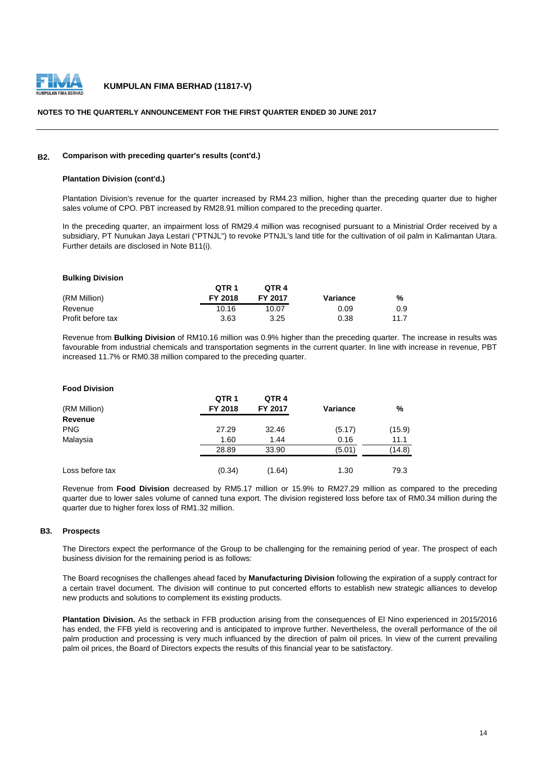

#### **NOTES TO THE QUARTERLY ANNOUNCEMENT FOR THE FIRST QUARTER ENDED 30 JUNE 2017**

#### **B2. Comparison with preceding quarter's results (cont'd.)**

#### **Plantation Division (cont'd.)**

Plantation Division's revenue for the quarter increased by RM4.23 million, higher than the preceding quarter due to higher sales volume of CPO. PBT increased by RM28.91 million compared to the preceding quarter.

In the preceding quarter, an impairment loss of RM29.4 million was recognised pursuant to a Ministrial Order received by a subsidiary, PT Nunukan Jaya Lestari ("PTNJL") to revoke PTNJL's land title for the cultivation of oil palm in Kalimantan Utara. Further details are disclosed in Note B11(i).

#### **Bulking Division**

|                   | OTR <sub>1</sub> | OTR 4   |          |      |
|-------------------|------------------|---------|----------|------|
| (RM Million)      | <b>FY 2018</b>   | FY 2017 | Variance | %    |
| Revenue           | 10.16            | 10.07   | 0.09     | 0.9  |
| Profit before tax | 3.63             | 3.25    | 0.38     | 11.7 |

Revenue from **Bulking Division** of RM10.16 million was 0.9% higher than the preceding quarter. The increase in results was favourable from industrial chemicals and transportation segments in the current quarter. In line with increase in revenue, PBT increased 11.7% or RM0.38 million compared to the preceding quarter.

# **Food Division**

|                 | QTR <sub>1</sub> | QTR <sub>4</sub> |                 |        |
|-----------------|------------------|------------------|-----------------|--------|
| (RM Million)    | FY 2018          | FY 2017          | <b>Variance</b> | %      |
| <b>Revenue</b>  |                  |                  |                 |        |
| <b>PNG</b>      | 27.29            | 32.46            | (5.17)          | (15.9) |
| Malaysia        | 1.60             | 1.44             | 0.16            | 11.1   |
|                 | 28.89            | 33.90            | (5.01)          | (14.8) |
| Loss before tax | (0.34)           | (1.64)           | 1.30            | 79.3   |

Revenue from **Food Division** decreased by RM5.17 million or 15.9% to RM27.29 million as compared to the preceding quarter due to lower sales volume of canned tuna export. The division registered loss before tax of RM0.34 million during the quarter due to higher forex loss of RM1.32 million.

# **B3. Prospects**

The Directors expect the performance of the Group to be challenging for the remaining period of year. The prospect of each business division for the remaining period is as follows:

The Board recognises the challenges ahead faced by **Manufacturing Division** following the expiration of a supply contract for a certain travel document. The division will continue to put concerted efforts to establish new strategic alliances to develop new products and solutions to complement its existing products.

**Plantation Division.** As the setback in FFB production arising from the consequences of El Nino experienced in 2015/2016 has ended, the FFB yield is recovering and is anticipated to improve further. Nevertheless, the overall performance of the oil palm production and processing is very much influanced by the direction of palm oil prices. In view of the current prevailing palm oil prices, the Board of Directors expects the results of this financial year to be satisfactory.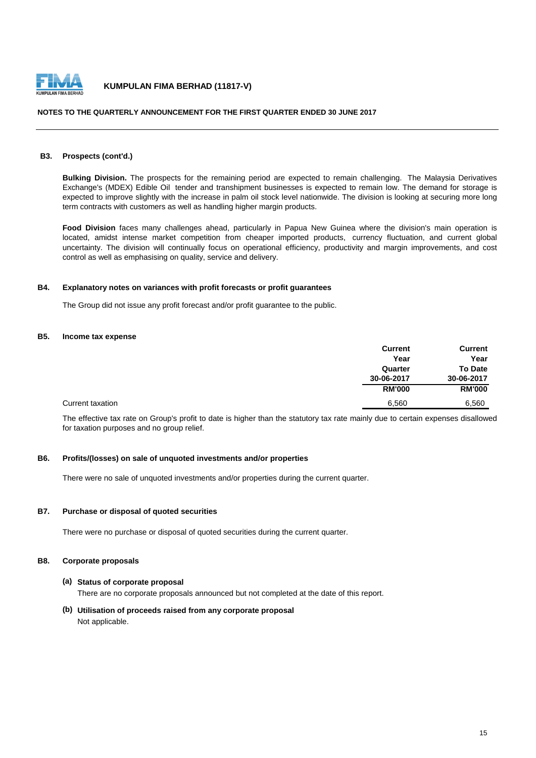

#### **NOTES TO THE QUARTERLY ANNOUNCEMENT FOR THE FIRST QUARTER ENDED 30 JUNE 2017**

# **B3. Prospects (cont'd.)**

**Bulking Division.** The prospects for the remaining period are expected to remain challenging. The Malaysia Derivatives Exchange's (MDEX) Edible Oil tender and transhipment businesses is expected to remain low. The demand for storage is expected to improve slightly with the increase in palm oil stock level nationwide. The division is looking at securing more long term contracts with customers as well as handling higher margin products.

**Food Division** faces many challenges ahead, particularly in Papua New Guinea where the division's main operation is located, amidst intense market competition from cheaper imported products, currency fluctuation, and current global uncertainty. The division will continually focus on operational efficiency, productivity and margin improvements, and cost control as well as emphasising on quality, service and delivery.

#### **B4. Explanatory notes on variances with profit forecasts or profit guarantees**

The Group did not issue any profit forecast and/or profit guarantee to the public.

#### **B5. Income tax expense**

|                  | <b>Current</b> | <b>Current</b> |
|------------------|----------------|----------------|
|                  | Year           | Year           |
|                  | Quarter        | <b>To Date</b> |
|                  | 30-06-2017     | 30-06-2017     |
|                  | <b>RM'000</b>  | <b>RM'000</b>  |
| Current taxation | 6,560          | 6,560          |

The effective tax rate on Group's profit to date is higher than the statutory tax rate mainly due to certain expenses disallowed for taxation purposes and no group relief.

# **B6. Profits/(losses) on sale of unquoted investments and/or properties**

There were no sale of unquoted investments and/or properties during the current quarter.

# **B7. Purchase or disposal of quoted securities**

There were no purchase or disposal of quoted securities during the current quarter.

#### **B8. Corporate proposals**

#### **(a) Status of corporate proposal**

There are no corporate proposals announced but not completed at the date of this report.

**(b) Utilisation of proceeds raised from any corporate proposal** Not applicable.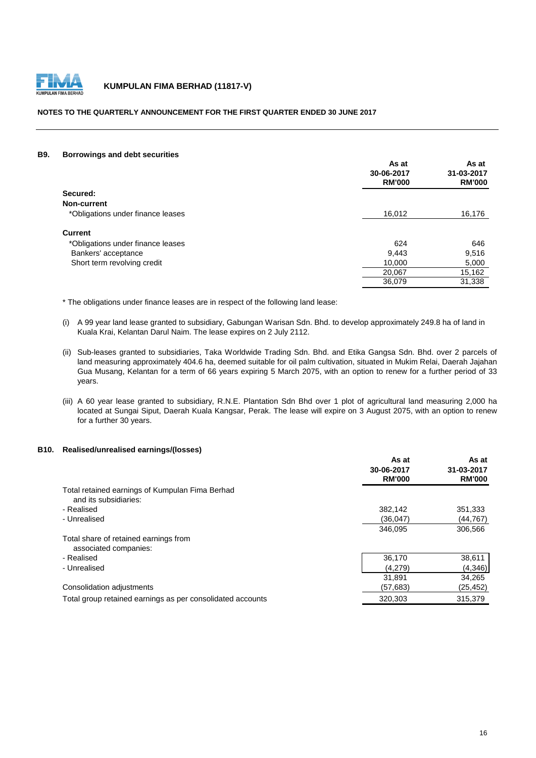

# **NOTES TO THE QUARTERLY ANNOUNCEMENT FOR THE FIRST QUARTER ENDED 30 JUNE 2017**

#### **B9. Borrowings and debt securities**

|                                   | As at<br>30-06-2017<br><b>RM'000</b> | As at<br>31-03-2017<br><b>RM'000</b> |
|-----------------------------------|--------------------------------------|--------------------------------------|
| Secured:                          |                                      |                                      |
| Non-current                       |                                      |                                      |
| *Obligations under finance leases | 16,012                               | 16,176                               |
| <b>Current</b>                    |                                      |                                      |
| *Obligations under finance leases | 624                                  | 646                                  |
| Bankers' acceptance               | 9,443                                | 9,516                                |
| Short term revolving credit       | 10,000                               | 5,000                                |
|                                   | 20,067                               | 15,162                               |
|                                   | 36,079                               | 31,338                               |

\* The obligations under finance leases are in respect of the following land lease:

- (i) A 99 year land lease granted to subsidiary, Gabungan Warisan Sdn. Bhd. to develop approximately 249.8 ha of land in Kuala Krai, Kelantan Darul Naim. The lease expires on 2 July 2112.
- (ii) Sub-leases granted to subsidiaries, Taka Worldwide Trading Sdn. Bhd. and Etika Gangsa Sdn. Bhd. over 2 parcels of land measuring approximately 404.6 ha, deemed suitable for oil palm cultivation, situated in Mukim Relai, Daerah Jajahan Gua Musang, Kelantan for a term of 66 years expiring 5 March 2075, with an option to renew for a further period of 33 years.
- (iii) A 60 year lease granted to subsidiary, R.N.E. Plantation Sdn Bhd over 1 plot of agricultural land measuring 2,000 ha located at Sungai Siput, Daerah Kuala Kangsar, Perak. The lease will expire on 3 August 2075, with an option to renew for a further 30 years.

# **B10. Realised/unrealised earnings/(losses)**

|                                                            | As at                       | As at<br>31-03-2017<br><b>RM'000</b> |
|------------------------------------------------------------|-----------------------------|--------------------------------------|
|                                                            | 30-06-2017<br><b>RM'000</b> |                                      |
|                                                            |                             |                                      |
| Total retained earnings of Kumpulan Fima Berhad            |                             |                                      |
| and its subsidiaries:                                      |                             |                                      |
| - Realised                                                 | 382.142                     | 351,333                              |
| - Unrealised                                               | (36.047)                    | (44,767)                             |
|                                                            | 346.095                     | 306,566                              |
| Total share of retained earnings from                      |                             |                                      |
| associated companies:                                      |                             |                                      |
| - Realised                                                 | 36,170                      | 38,611                               |
| - Unrealised                                               | (4.279)                     | (4,346)                              |
|                                                            | 31.891                      | 34,265                               |
| Consolidation adjustments                                  | (57, 683)                   | (25,452)                             |
| Total group retained earnings as per consolidated accounts | 320.303                     | 315,379                              |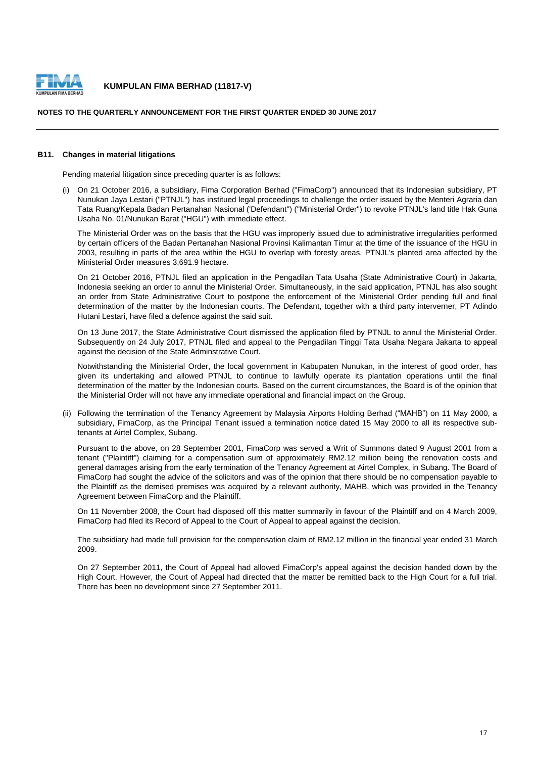

#### **NOTES TO THE QUARTERLY ANNOUNCEMENT FOR THE FIRST QUARTER ENDED 30 JUNE 2017**

#### **B11. Changes in material litigations**

Pending material litigation since preceding quarter is as follows:

(i) On 21 October 2016, a subsidiary, Fima Corporation Berhad ("FimaCorp") announced that its Indonesian subsidiary, PT Nunukan Jaya Lestari ("PTNJL") has institued legal proceedings to challenge the order issued by the Menteri Agraria dan Tata Ruang/Kepala Badan Pertanahan Nasional ('Defendant") ("Ministerial Order") to revoke PTNJL's land title Hak Guna Usaha No. 01/Nunukan Barat ("HGU") with immediate effect.

The Ministerial Order was on the basis that the HGU was improperly issued due to administrative irregularities performed by certain officers of the Badan Pertanahan Nasional Provinsi Kalimantan Timur at the time of the issuance of the HGU in 2003, resulting in parts of the area within the HGU to overlap with foresty areas. PTNJL's planted area affected by the Ministerial Order measures 3,691.9 hectare.

On 21 October 2016, PTNJL filed an application in the Pengadilan Tata Usaha (State Administrative Court) in Jakarta, Indonesia seeking an order to annul the Ministerial Order. Simultaneously, in the said application, PTNJL has also sought an order from State Administrative Court to postpone the enforcement of the Ministerial Order pending full and final determination of the matter by the Indonesian courts. The Defendant, together with a third party interverner, PT Adindo Hutani Lestari, have filed a defence against the said suit.

On 13 June 2017, the State Administrative Court dismissed the application filed by PTNJL to annul the Ministerial Order. Subsequently on 24 July 2017, PTNJL filed and appeal to the Pengadilan Tinggi Tata Usaha Negara Jakarta to appeal against the decision of the State Adminstrative Court.

Notwithstanding the Ministerial Order, the local government in Kabupaten Nunukan, in the interest of good order, has given its undertaking and allowed PTNJL to continue to lawfully operate its plantation operations until the final determination of the matter by the Indonesian courts. Based on the current circumstances, the Board is of the opinion that the Ministerial Order will not have any immediate operational and financial impact on the Group.

(ii) Following the termination of the Tenancy Agreement by Malaysia Airports Holding Berhad ("MAHB") on 11 May 2000, a subsidiary, FimaCorp, as the Principal Tenant issued a termination notice dated 15 May 2000 to all its respective subtenants at Airtel Complex, Subang.

Pursuant to the above, on 28 September 2001, FimaCorp was served a Writ of Summons dated 9 August 2001 from a tenant ("Plaintiff") claiming for a compensation sum of approximately RM2.12 million being the renovation costs and general damages arising from the early termination of the Tenancy Agreement at Airtel Complex, in Subang. The Board of FimaCorp had sought the advice of the solicitors and was of the opinion that there should be no compensation payable to the Plaintiff as the demised premises was acquired by a relevant authority, MAHB, which was provided in the Tenancy Agreement between FimaCorp and the Plaintiff.

On 11 November 2008, the Court had disposed off this matter summarily in favour of the Plaintiff and on 4 March 2009, FimaCorp had filed its Record of Appeal to the Court of Appeal to appeal against the decision.

The subsidiary had made full provision for the compensation claim of RM2.12 million in the financial year ended 31 March 2009.

On 27 September 2011, the Court of Appeal had allowed FimaCorp's appeal against the decision handed down by the High Court. However, the Court of Appeal had directed that the matter be remitted back to the High Court for a full trial. There has been no development since 27 September 2011.